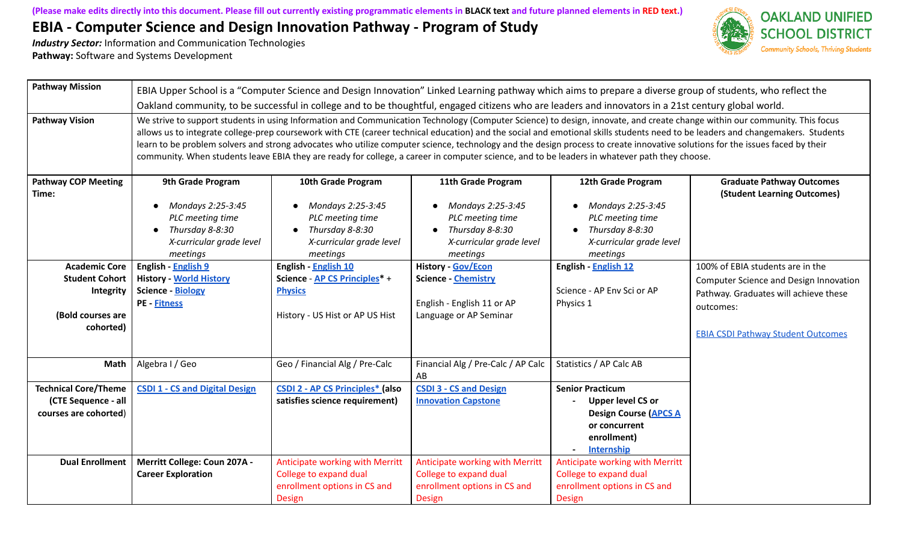

| <b>Pathway Mission</b>                                                                       | EBIA Upper School is a "Computer Science and Design Innovation" Linked Learning pathway which aims to prepare a diverse group of students, who reflect the<br>Oakland community, to be successful in college and to be thoughtful, engaged citizens who are leaders and innovators in a 21st century global world.                                                                                                                                                                                                                                                                                                                                                                              |                                                                                                                        |                                                                                                                        |                                                                                                                                              |                                                                                                                                                                               |  |
|----------------------------------------------------------------------------------------------|-------------------------------------------------------------------------------------------------------------------------------------------------------------------------------------------------------------------------------------------------------------------------------------------------------------------------------------------------------------------------------------------------------------------------------------------------------------------------------------------------------------------------------------------------------------------------------------------------------------------------------------------------------------------------------------------------|------------------------------------------------------------------------------------------------------------------------|------------------------------------------------------------------------------------------------------------------------|----------------------------------------------------------------------------------------------------------------------------------------------|-------------------------------------------------------------------------------------------------------------------------------------------------------------------------------|--|
| <b>Pathway Vision</b>                                                                        | We strive to support students in using Information and Communication Technology (Computer Science) to design, innovate, and create change within our community. This focus<br>allows us to integrate college-prep coursework with CTE (career technical education) and the social and emotional skills students need to be leaders and changemakers. Students<br>learn to be problem solvers and strong advocates who utilize computer science, technology and the design process to create innovative solutions for the issues faced by their<br>community. When students leave EBIA they are ready for college, a career in computer science, and to be leaders in whatever path they choose. |                                                                                                                        |                                                                                                                        |                                                                                                                                              |                                                                                                                                                                               |  |
| <b>Pathway COP Meeting</b><br>Time:                                                          | 9th Grade Program<br>Mondays 2:25-3:45<br>$\bullet$<br>PLC meeting time<br>Thursday 8-8:30<br>$\bullet$<br>X-curricular grade level<br>meetings                                                                                                                                                                                                                                                                                                                                                                                                                                                                                                                                                 | 10th Grade Program<br>Mondays 2:25-3:45<br>PLC meeting time<br>Thursday 8-8:30<br>X-curricular grade level<br>meetings | 11th Grade Program<br>Mondays 2:25-3:45<br>PLC meeting time<br>Thursday 8-8:30<br>X-curricular grade level<br>meetings | 12th Grade Program<br>Mondays 2:25-3:45<br>PLC meeting time<br>Thursday 8-8:30<br>$\bullet$<br>X-curricular grade level<br>meetings          | <b>Graduate Pathway Outcomes</b><br>(Student Learning Outcomes)                                                                                                               |  |
| <b>Academic Core</b><br><b>Student Cohort</b><br>Integrity<br>(Bold courses are<br>cohorted) | English - English 9<br><b>History - World History</b><br><b>Science - Biology</b><br><b>PE - Fitness</b>                                                                                                                                                                                                                                                                                                                                                                                                                                                                                                                                                                                        | English - English 10<br>Science - AP CS Principles* +<br><b>Physics</b><br>History - US Hist or AP US Hist             | <b>History - Gov/Econ</b><br><b>Science - Chemistry</b><br>English - English 11 or AP<br>Language or AP Seminar        | English - English 12<br>Science - AP Env Sci or AP<br>Physics 1                                                                              | 100% of EBIA students are in the<br>Computer Science and Design Innovation<br>Pathway. Graduates will achieve these<br>outcomes:<br><b>EBIA CSDI Pathway Student Outcomes</b> |  |
| Math                                                                                         | Algebra I / Geo                                                                                                                                                                                                                                                                                                                                                                                                                                                                                                                                                                                                                                                                                 | Geo / Financial Alg / Pre-Calc                                                                                         | Financial Alg / Pre-Calc / AP Calc<br>AB                                                                               | Statistics / AP Calc AB                                                                                                                      |                                                                                                                                                                               |  |
| <b>Technical Core/Theme</b><br>(CTE Sequence - all<br>courses are cohorted)                  | <b>CSDI 1 - CS and Digital Design</b>                                                                                                                                                                                                                                                                                                                                                                                                                                                                                                                                                                                                                                                           | <b>CSDI 2 - AP CS Principles*</b> (also<br>satisfies science requirement)                                              | <b>CSDI 3 - CS and Design</b><br><b>Innovation Capstone</b>                                                            | <b>Senior Practicum</b><br>Upper level CS or<br><b>Design Course (APCS A</b><br>or concurrent<br>enrollment)<br>Internship<br>$\blacksquare$ |                                                                                                                                                                               |  |
| <b>Dual Enrollment</b>                                                                       | Merritt College: Coun 207A -<br><b>Career Exploration</b>                                                                                                                                                                                                                                                                                                                                                                                                                                                                                                                                                                                                                                       | Anticipate working with Merritt<br>College to expand dual<br>enrollment options in CS and<br>Design                    | Anticipate working with Merritt<br>College to expand dual<br>enrollment options in CS and<br><b>Design</b>             | Anticipate working with Merritt<br>College to expand dual<br>enrollment options in CS and<br><b>Design</b>                                   |                                                                                                                                                                               |  |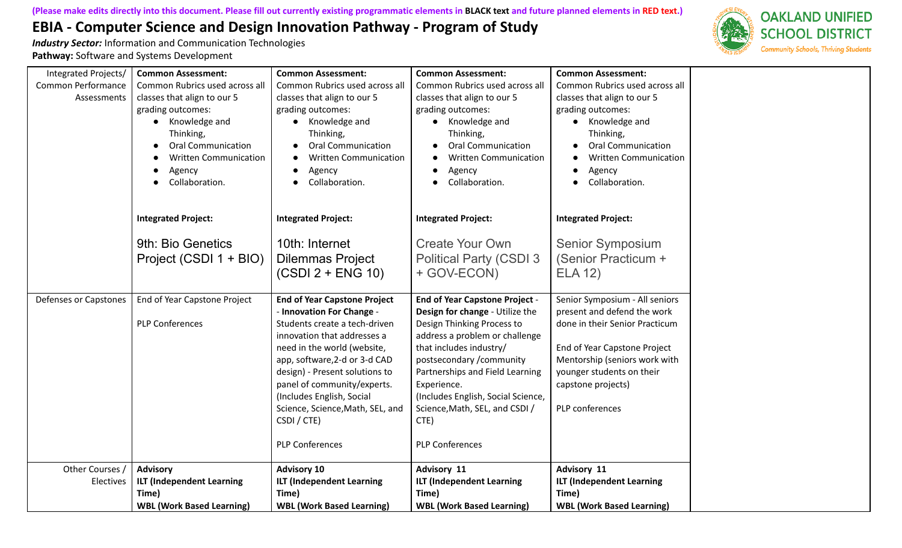

| Integrated Projects/<br>Common Performance<br>Assessments | <b>Common Assessment:</b><br>Common Rubrics used across all<br>classes that align to our 5<br>grading outcomes:<br>Knowledge and<br>Thinking,<br><b>Oral Communication</b><br><b>Written Communication</b><br>Agency<br>Collaboration. | <b>Common Assessment:</b><br>Common Rubrics used across all<br>classes that align to our 5<br>grading outcomes:<br>Knowledge and<br>Thinking,<br><b>Oral Communication</b><br><b>Written Communication</b><br>Agency<br>Collaboration.                                                                                                                                      | <b>Common Assessment:</b><br>Common Rubrics used across all<br>classes that align to our 5<br>grading outcomes:<br>Knowledge and<br>Thinking,<br><b>Oral Communication</b><br><b>Written Communication</b><br>Agency<br>Collaboration.                                                                                                                       | <b>Common Assessment:</b><br>Common Rubrics used across all<br>classes that align to our 5<br>grading outcomes:<br>• Knowledge and<br>Thinking,<br><b>Oral Communication</b><br><b>Written Communication</b><br>Agency<br>Collaboration. |
|-----------------------------------------------------------|----------------------------------------------------------------------------------------------------------------------------------------------------------------------------------------------------------------------------------------|-----------------------------------------------------------------------------------------------------------------------------------------------------------------------------------------------------------------------------------------------------------------------------------------------------------------------------------------------------------------------------|--------------------------------------------------------------------------------------------------------------------------------------------------------------------------------------------------------------------------------------------------------------------------------------------------------------------------------------------------------------|------------------------------------------------------------------------------------------------------------------------------------------------------------------------------------------------------------------------------------------|
|                                                           | <b>Integrated Project:</b>                                                                                                                                                                                                             | <b>Integrated Project:</b>                                                                                                                                                                                                                                                                                                                                                  | <b>Integrated Project:</b>                                                                                                                                                                                                                                                                                                                                   | <b>Integrated Project:</b>                                                                                                                                                                                                               |
|                                                           | 9th: Bio Genetics<br>Project (CSDI 1 + BIO)                                                                                                                                                                                            | 10th: Internet<br><b>Dilemmas Project</b><br>$(CSDI 2 + ENG 10)$                                                                                                                                                                                                                                                                                                            | <b>Create Your Own</b><br><b>Political Party (CSDI 3</b><br>+ GOV-ECON)                                                                                                                                                                                                                                                                                      | <b>Senior Symposium</b><br>(Senior Practicum +<br><b>ELA 12)</b>                                                                                                                                                                         |
| <b>Defenses or Capstones</b>                              | End of Year Capstone Project<br><b>PLP Conferences</b>                                                                                                                                                                                 | <b>End of Year Capstone Project</b><br>- Innovation For Change -<br>Students create a tech-driven<br>innovation that addresses a<br>need in the world (website,<br>app, software, 2-d or 3-d CAD<br>design) - Present solutions to<br>panel of community/experts.<br>(Includes English, Social<br>Science, Science, Math, SEL, and<br>CSDI / CTE)<br><b>PLP Conferences</b> | <b>End of Year Capstone Project -</b><br>Design for change - Utilize the<br>Design Thinking Process to<br>address a problem or challenge<br>that includes industry/<br>postsecondary / community<br>Partnerships and Field Learning<br>Experience.<br>(Includes English, Social Science,<br>Science, Math, SEL, and CSDI /<br>CTE)<br><b>PLP Conferences</b> | Senior Symposium - All seniors<br>present and defend the work<br>done in their Senior Practicum<br>End of Year Capstone Project<br>Mentorship (seniors work with<br>younger students on their<br>capstone projects)<br>PLP conferences   |
| Other Courses<br>Electives                                | <b>Advisory</b><br><b>ILT (Independent Learning</b><br>Time)<br><b>WBL (Work Based Learning)</b>                                                                                                                                       | <b>Advisory 10</b><br><b>ILT (Independent Learning</b><br>Time)<br><b>WBL (Work Based Learning)</b>                                                                                                                                                                                                                                                                         | Advisory 11<br><b>ILT (Independent Learning</b><br>Time)<br><b>WBL (Work Based Learning)</b>                                                                                                                                                                                                                                                                 | <b>Advisory 11</b><br><b>ILT (Independent Learning</b><br>Time)<br><b>WBL (Work Based Learning)</b>                                                                                                                                      |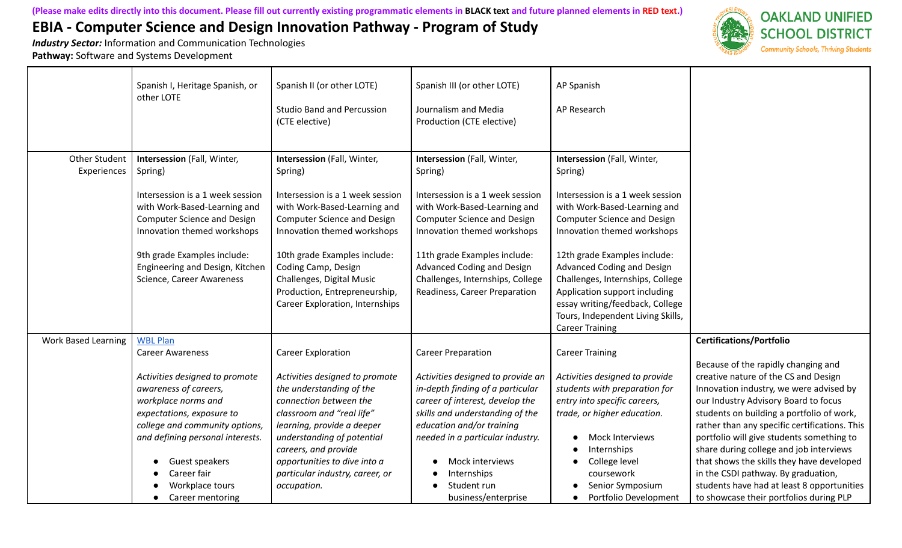

|                              | Spanish I, Heritage Spanish, or<br>other LOTE                                                                                                                                                                                                             | Spanish II (or other LOTE)<br><b>Studio Band and Percussion</b><br>(CTE elective)                                                                                                                                                                                                       | Spanish III (or other LOTE)<br>Journalism and Media<br>Production (CTE elective)                                                                                                                                                                                                     | AP Spanish<br>AP Research                                                                                                                                                                                                                                 |                                                                                                                                                                                                                                                                                                                                                                                                                                                                                                                                   |
|------------------------------|-----------------------------------------------------------------------------------------------------------------------------------------------------------------------------------------------------------------------------------------------------------|-----------------------------------------------------------------------------------------------------------------------------------------------------------------------------------------------------------------------------------------------------------------------------------------|--------------------------------------------------------------------------------------------------------------------------------------------------------------------------------------------------------------------------------------------------------------------------------------|-----------------------------------------------------------------------------------------------------------------------------------------------------------------------------------------------------------------------------------------------------------|-----------------------------------------------------------------------------------------------------------------------------------------------------------------------------------------------------------------------------------------------------------------------------------------------------------------------------------------------------------------------------------------------------------------------------------------------------------------------------------------------------------------------------------|
| Other Student<br>Experiences | Intersession (Fall, Winter,<br>Spring)                                                                                                                                                                                                                    | Intersession (Fall, Winter,<br>Spring)                                                                                                                                                                                                                                                  | Intersession (Fall, Winter,<br>Spring)                                                                                                                                                                                                                                               | Intersession (Fall, Winter,<br>Spring)                                                                                                                                                                                                                    |                                                                                                                                                                                                                                                                                                                                                                                                                                                                                                                                   |
|                              | Intersession is a 1 week session<br>with Work-Based-Learning and<br><b>Computer Science and Design</b><br>Innovation themed workshops                                                                                                                     | Intersession is a 1 week session<br>with Work-Based-Learning and<br><b>Computer Science and Design</b><br>Innovation themed workshops                                                                                                                                                   | Intersession is a 1 week session<br>with Work-Based-Learning and<br><b>Computer Science and Design</b><br>Innovation themed workshops                                                                                                                                                | Intersession is a 1 week session<br>with Work-Based-Learning and<br><b>Computer Science and Design</b><br>Innovation themed workshops                                                                                                                     |                                                                                                                                                                                                                                                                                                                                                                                                                                                                                                                                   |
|                              | 9th grade Examples include:<br>Engineering and Design, Kitchen<br>Science, Career Awareness                                                                                                                                                               | 10th grade Examples include:<br>Coding Camp, Design<br>Challenges, Digital Music<br>Production, Entrepreneurship,<br><b>Career Exploration, Internships</b>                                                                                                                             | 11th grade Examples include:<br>Advanced Coding and Design<br>Challenges, Internships, College<br>Readiness, Career Preparation                                                                                                                                                      | 12th grade Examples include:<br>Advanced Coding and Design<br>Challenges, Internships, College<br>Application support including<br>essay writing/feedback, College<br>Tours, Independent Living Skills,<br><b>Career Training</b>                         |                                                                                                                                                                                                                                                                                                                                                                                                                                                                                                                                   |
| <b>Work Based Learning</b>   | <b>WBL Plan</b><br><b>Career Awareness</b>                                                                                                                                                                                                                | <b>Career Exploration</b>                                                                                                                                                                                                                                                               | <b>Career Preparation</b>                                                                                                                                                                                                                                                            | <b>Career Training</b>                                                                                                                                                                                                                                    | <b>Certifications/Portfolio</b>                                                                                                                                                                                                                                                                                                                                                                                                                                                                                                   |
|                              | Activities designed to promote<br>awareness of careers,<br>workplace norms and<br>expectations, exposure to<br>college and community options,<br>and defining personal interests.<br>Guest speakers<br>Career fair<br>Workplace tours<br>Career mentoring | Activities designed to promote<br>the understanding of the<br>connection between the<br>classroom and "real life"<br>learning, provide a deeper<br>understanding of potential<br>careers, and provide<br>opportunities to dive into a<br>particular industry, career, or<br>occupation. | Activities designed to provide an<br>in-depth finding of a particular<br>career of interest, develop the<br>skills and understanding of the<br>education and/or training<br>needed in a particular industry.<br>Mock interviews<br>Internships<br>Student run<br>business/enterprise | Activities designed to provide<br>students with preparation for<br>entry into specific careers,<br>trade, or higher education.<br>Mock Interviews<br>Internships<br>College level<br>coursework<br>Senior Symposium<br>Portfolio Development<br>$\bullet$ | Because of the rapidly changing and<br>creative nature of the CS and Design<br>Innovation industry, we were advised by<br>our Industry Advisory Board to focus<br>students on building a portfolio of work,<br>rather than any specific certifications. This<br>portfolio will give students something to<br>share during college and job interviews<br>that shows the skills they have developed<br>in the CSDI pathway. By graduation,<br>students have had at least 8 opportunities<br>to showcase their portfolios during PLP |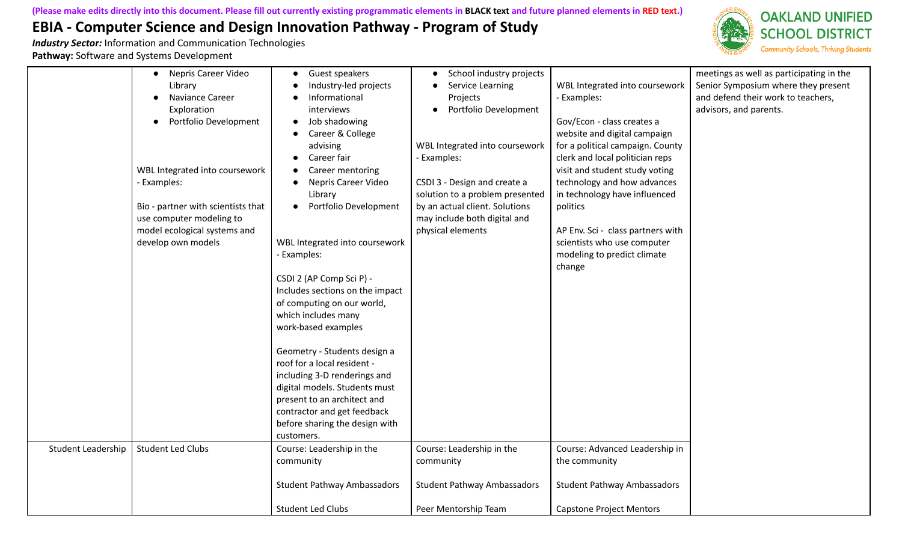

|                    | Nepris Career Video<br>$\bullet$<br>Library<br>Naviance Career<br>Exploration<br>Portfolio Development<br>WBL Integrated into coursework<br>- Examples:<br>Bio - partner with scientists that<br>use computer modeling to<br>model ecological systems and<br>develop own models | Guest speakers<br>Industry-led projects<br>Informational<br>interviews<br>Job shadowing<br>Career & College<br>advising<br>Career fair<br>Career mentoring<br>Nepris Career Video<br>Library<br>Portfolio Development<br>WBL Integrated into coursework<br>Examples:<br>CSDI 2 (AP Comp Sci P) -<br>Includes sections on the impact<br>of computing on our world,<br>which includes many<br>work-based examples<br>Geometry - Students design a<br>roof for a local resident -<br>including 3-D renderings and<br>digital models. Students must<br>present to an architect and<br>contractor and get feedback<br>before sharing the design with<br>customers. | School industry projects<br>$\bullet$<br>Service Learning<br>Projects<br>Portfolio Development<br>WBL Integrated into coursework<br>- Examples:<br>CSDI 3 - Design and create a<br>solution to a problem presented<br>by an actual client. Solutions<br>may include both digital and<br>physical elements | WBL Integrated into coursework<br>- Examples:<br>Gov/Econ - class creates a<br>website and digital campaign<br>for a political campaign. County<br>clerk and local politician reps<br>visit and student study voting<br>technology and how advances<br>in technology have influenced<br>politics<br>AP Env. Sci - class partners with<br>scientists who use computer<br>modeling to predict climate<br>change | meetings as well as participating in the<br>Senior Symposium where they present<br>and defend their work to teachers,<br>advisors, and parents. |
|--------------------|---------------------------------------------------------------------------------------------------------------------------------------------------------------------------------------------------------------------------------------------------------------------------------|---------------------------------------------------------------------------------------------------------------------------------------------------------------------------------------------------------------------------------------------------------------------------------------------------------------------------------------------------------------------------------------------------------------------------------------------------------------------------------------------------------------------------------------------------------------------------------------------------------------------------------------------------------------|-----------------------------------------------------------------------------------------------------------------------------------------------------------------------------------------------------------------------------------------------------------------------------------------------------------|---------------------------------------------------------------------------------------------------------------------------------------------------------------------------------------------------------------------------------------------------------------------------------------------------------------------------------------------------------------------------------------------------------------|-------------------------------------------------------------------------------------------------------------------------------------------------|
| Student Leadership | <b>Student Led Clubs</b>                                                                                                                                                                                                                                                        | Course: Leadership in the<br>community                                                                                                                                                                                                                                                                                                                                                                                                                                                                                                                                                                                                                        | Course: Leadership in the<br>community                                                                                                                                                                                                                                                                    | Course: Advanced Leadership in<br>the community                                                                                                                                                                                                                                                                                                                                                               |                                                                                                                                                 |
|                    |                                                                                                                                                                                                                                                                                 | <b>Student Pathway Ambassadors</b><br><b>Student Led Clubs</b>                                                                                                                                                                                                                                                                                                                                                                                                                                                                                                                                                                                                | <b>Student Pathway Ambassadors</b><br>Peer Mentorship Team                                                                                                                                                                                                                                                | <b>Student Pathway Ambassadors</b><br><b>Capstone Project Mentors</b>                                                                                                                                                                                                                                                                                                                                         |                                                                                                                                                 |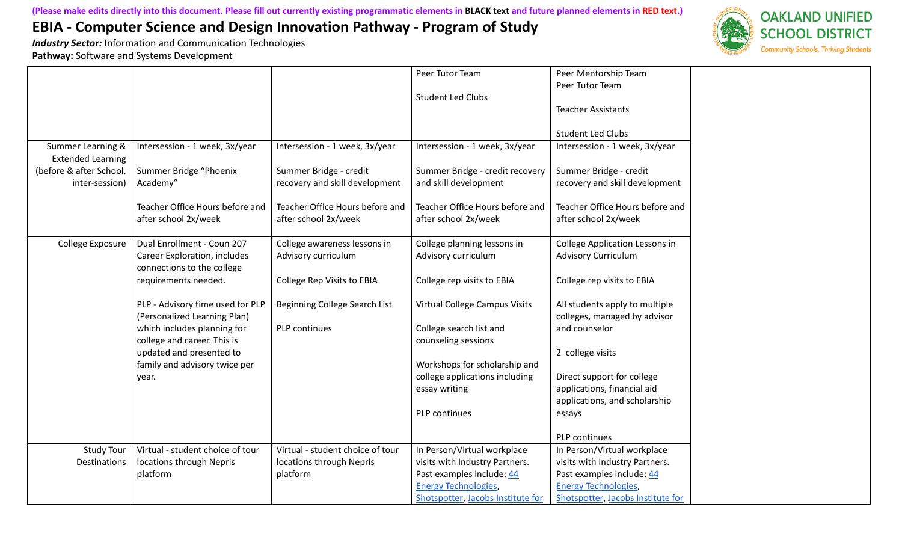*Industry Sector:* Information and Communication Technologies

**Pathway:** Software and Systems Development



|                                                                                            |                                                                                                 |                                                                                            | Peer Tutor Team<br><b>Student Led Clubs</b>                                                                               | Peer Mentorship Team<br>Peer Tutor Team<br><b>Teacher Assistants</b><br><b>Student Led Clubs</b>                          |
|--------------------------------------------------------------------------------------------|-------------------------------------------------------------------------------------------------|--------------------------------------------------------------------------------------------|---------------------------------------------------------------------------------------------------------------------------|---------------------------------------------------------------------------------------------------------------------------|
| Summer Learning &<br><b>Extended Learning</b><br>(before & after School,<br>inter-session) | Intersession - 1 week, 3x/year<br>Summer Bridge "Phoenix<br>Academy"                            | Intersession - 1 week, 3x/year<br>Summer Bridge - credit<br>recovery and skill development | Intersession - 1 week, 3x/year<br>Summer Bridge - credit recovery<br>and skill development                                | Intersession - 1 week, 3x/year<br>Summer Bridge - credit<br>recovery and skill development                                |
|                                                                                            | Teacher Office Hours before and<br>after school 2x/week                                         | Teacher Office Hours before and<br>after school 2x/week                                    | Teacher Office Hours before and<br>after school 2x/week                                                                   | Teacher Office Hours before and<br>after school 2x/week                                                                   |
| College Exposure                                                                           | Dual Enrollment - Coun 207<br>Career Exploration, includes<br>connections to the college        | College awareness lessons in<br>Advisory curriculum                                        | College planning lessons in<br>Advisory curriculum                                                                        | <b>College Application Lessons in</b><br><b>Advisory Curriculum</b>                                                       |
|                                                                                            | requirements needed.                                                                            | College Rep Visits to EBIA                                                                 | College rep visits to EBIA                                                                                                | College rep visits to EBIA                                                                                                |
|                                                                                            | PLP - Advisory time used for PLP<br>(Personalized Learning Plan)<br>which includes planning for | Beginning College Search List<br>PLP continues                                             | Virtual College Campus Visits<br>College search list and                                                                  | All students apply to multiple<br>colleges, managed by advisor<br>and counselor                                           |
|                                                                                            | college and career. This is<br>updated and presented to                                         |                                                                                            | counseling sessions                                                                                                       | 2 college visits                                                                                                          |
|                                                                                            | family and advisory twice per<br>year.                                                          |                                                                                            | Workshops for scholarship and<br>college applications including<br>essay writing                                          | Direct support for college<br>applications, financial aid<br>applications, and scholarship                                |
|                                                                                            |                                                                                                 |                                                                                            | PLP continues                                                                                                             | essays                                                                                                                    |
|                                                                                            |                                                                                                 |                                                                                            |                                                                                                                           | PLP continues                                                                                                             |
| <b>Study Tour</b><br><b>Destinations</b>                                                   | Virtual - student choice of tour<br>locations through Nepris<br>platform                        | Virtual - student choice of tour<br>locations through Nepris<br>platform                   | In Person/Virtual workplace<br>visits with Industry Partners.<br>Past examples include: 44<br><b>Energy Technologies,</b> | In Person/Virtual workplace<br>visits with Industry Partners.<br>Past examples include: 44<br><b>Energy Technologies,</b> |
|                                                                                            |                                                                                                 |                                                                                            | Shotspotter, Jacobs Institute for                                                                                         | Shotspotter, Jacobs Institute for                                                                                         |